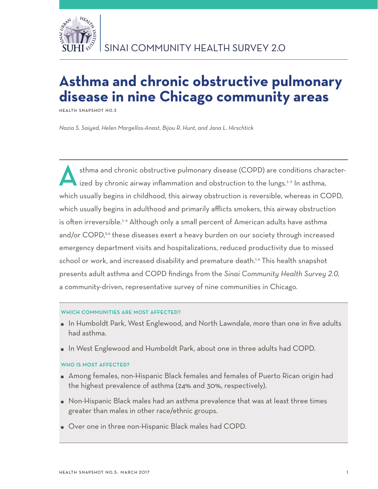

# **Asthma and chronic obstructive pulmonary disease in nine Chicago community areas**

**Health Snapshot No.3**

*Nazia S. Saiyed, Helen Margellos-Anast, Bijou R. Hunt, and Jana L. Hirschtick*

sthma and chronic obstructive pulmonary disease (COPD) are conditions characterized by chronic airway inflammation and obstruction to the lungs.<sup>1-3</sup> In asthma, which usually begins in childhood, this airway obstruction is reversible, whereas in COPD, which usually begins in adulthood and primarily afflicts smokers, this airway obstruction is often irreversible.<sup>1-4</sup> Although only a small percent of American adults have asthma and/or COPD,<sup>5,6</sup> these diseases exert a heavy burden on our society through increased emergency department visits and hospitalizations, reduced productivity due to missed school or work, and increased disability and premature death.<sup>1,4</sup> This health snapshot presents adult asthma and COPD findings from the *Sinai Community Health Survey 2.0,*  a community-driven, representative survey of nine communities in Chicago.

## WHICH COMMUNITIES ARE MOST AFFECTED?

- In Humboldt Park, West Englewood, and North Lawndale, more than one in five adults had asthma.
- In West Englewood and Humboldt Park, about one in three adults had COPD.

## WHO IS MOST AFFECTED?

- Among females, non-Hispanic Black females and females of Puerto Rican origin had the highest prevalence of asthma (24% and 30%, respectively).
- Non-Hispanic Black males had an asthma prevalence that was at least three times greater than males in other race/ethnic groups.
- Over one in three non-Hispanic Black males had COPD.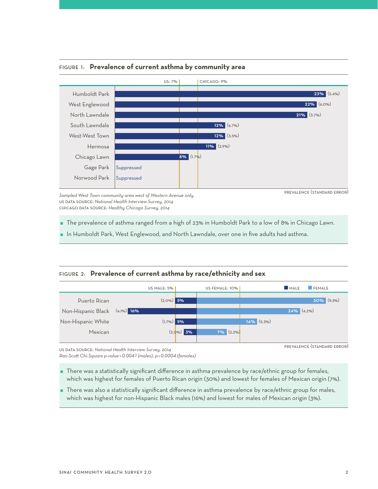

Figure 1: **Prevalence of current asthma by community area**

*Sampled West Town community area west of Western Avenue only* us data source: *National Health Interview Survey, 2014*  chicago data source: *Healthy Chicago Survey, 2014*

prevalence (standard error)

The prevalence of asthma ranged from a high of 23% in Humboldt Park to a low of 8% in Chicago Lawn.

**I** In Humboldt Park, West Englewood, and North Lawndale, over one in five adults had asthma.

## Figure 2: **Prevalence of current asthma by race/ethnicity and sex**



us data source: *National Health Interview Survey, 2014* 

*Rao-Scott Chi-Square p-value =0.0041 (males); p =0.0004 (females)*

 There was a statistically significant difference in asthma prevalence by race/ethnic group for females, which was highest for females of Puerto Rican origin (30%) and lowest for females of Mexican origin (7%).

 There was also a statistically significant difference in asthma prevalence by race/ethnic group for males, which was highest for non-Hispanic Black males (16%) and lowest for males of Mexican origin (3%).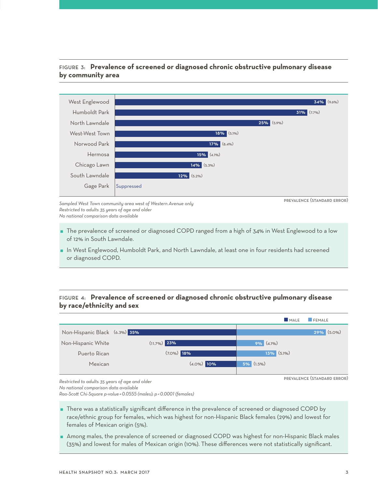# Figure 3: **Prevalence of screened or diagnosed chronic obstructive pulmonary disease by community area**



*Sampled West Town community area west of Western Avenue only Restricted to adults 35 years of age and older No national comparison data available*

- The prevalence of screened or diagnosed COPD ranged from a high of 34% in West Englewood to a low of 12% in South Lawndale.
- In West Englewood, Humboldt Park, and North Lawndale, at least one in four residents had screened or diagnosed COPD.

# Figure 4: **Prevalence of screened or diagnosed chronic obstructive pulmonary disease by race/ethnicity and sex**



*Restricted to adults 35 years of age and older*

*No national comparison data available*

*Rao-Scott Chi-Square p-value =0.0555 (males); p <0.0001 (females)* 

 There was a statistically significant difference in the prevalence of screened or diagnosed COPD by race/ethnic group for females, which was highest for non-Hispanic Black females (29%) and lowest for females of Mexican origin (5%).

 Among males, the prevalence of screened or diagnosed COPD was highest for non-Hispanic Black males (35%) and lowest for males of Mexican origin (10%). These differences were not statistically significant.